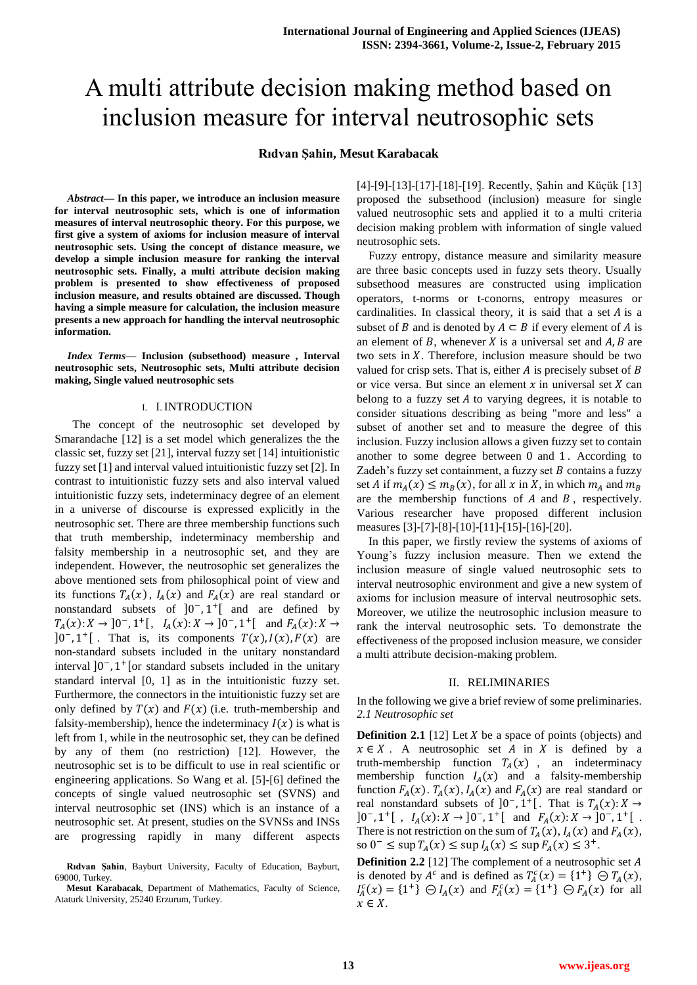# A multi attribute decision making method based on inclusion measure for interval neutrosophic sets

# **Rıdvan Şahin, Mesut Karabacak**

*Abstract***— In this paper, we introduce an inclusion measure for interval neutrosophic sets, which is one of information measures of interval neutrosophic theory. For this purpose, we first give a system of axioms for inclusion measure of interval neutrosophic sets. Using the concept of distance measure, we develop a simple inclusion measure for ranking the interval neutrosophic sets. Finally, a multi attribute decision making problem is presented to show effectiveness of proposed inclusion measure, and results obtained are discussed. Though having a simple measure for calculation, the inclusion measure presents a new approach for handling the interval neutrosophic information.**

*Index Terms***— Inclusion (subsethood) measure , Interval neutrosophic sets, Neutrosophic sets, Multi attribute decision making, Single valued neutrosophic sets**

## I. I. INTRODUCTION

 The concept of the neutrosophic set developed by Smarandache [12] is a set model which generalizes the the classic set, fuzzy set [21], interval fuzzy set [14] intuitionistic fuzzy set [1] and interval valued intuitionistic fuzzy set [2]. In contrast to intuitionistic fuzzy sets and also interval valued intuitionistic fuzzy sets, indeterminacy degree of an element in a universe of discourse is expressed explicitly in the neutrosophic set. There are three membership functions such that truth membership, indeterminacy membership and falsity membership in a neutrosophic set, and they are independent. However, the neutrosophic set generalizes the above mentioned sets from philosophical point of view and its functions  $T_A(x)$ ,  $I_A(x)$  and  $F_A(x)$  are real standard or nonstandard subsets of  $]0^-, 1^+]$  and are defined by  $T_A(x): X \to [0^-, 1^+[, I_A(x): X \to [0^-, 1^+] \text{ and } F_A(x):$  $]0^-, 1^+]$ . That is, its components  $T(x)$ ,  $I(x)$ ,  $F(x)$  are non-standard subsets included in the unitary nonstandard interval  $]0^-$ , 1<sup>+</sup> [or standard subsets included in the unitary standard interval [0, 1] as in the intuitionistic fuzzy set. Furthermore, the connectors in the intuitionistic fuzzy set are only defined by  $T(x)$  and  $F(x)$  (i.e. truth-membership and falsity-membership), hence the indeterminacy  $I(x)$  is what is left from 1, while in the neutrosophic set, they can be defined by any of them (no restriction) [12]. However, the neutrosophic set is to be difficult to use in real scientific or engineering applications. So Wang et al. [5]-[6] defined the concepts of single valued neutrosophic set (SVNS) and interval neutrosophic set (INS) which is an instance of a neutrosophic set. At present, studies on the SVNSs and INSs progressing rapidly in many different aspects

[4]-[9]-[13]-[17]-[18]-[19]. Recently, Şahin and Küçük [13] proposed the subsethood (inclusion) measure for single valued neutrosophic sets and applied it to a multi criteria decision making problem with information of single valued neutrosophic sets.

Fuzzy entropy, distance measure and similarity measure are three basic concepts used in fuzzy sets theory. Usually subsethood measures are constructed using implication operators, t-norms or t-conorns, entropy measures or cardinalities. In classical theory, it is said that a set  $A$  is a subset of B and is denoted by  $A \subset B$  if every element of A is an element of B, whenever X is a universal set and  $A, B$  are two sets in  $X$ . Therefore, inclusion measure should be two valued for crisp sets. That is, either  $A$  is precisely subset of  $B$ or vice versa. But since an element  $x$  in universal set  $X$  can belong to a fuzzy set  $A$  to varying degrees, it is notable to consider situations describing as being "more and less" a subset of another set and to measure the degree of this inclusion. Fuzzy inclusion allows a given fuzzy set to contain another to some degree between  $0$  and  $1$ . According to Zadeh's fuzzy set containment, a fuzzy set  $B$  contains a fuzzy set A if  $m_A(x) \le m_B(x)$ , for all x in X, in which  $m_A$  and are the membership functions of  $A$  and  $B$ , respectively. Various researcher have proposed different inclusion measures [3]-[7]-[8]-[10]-[11]-[15]-[16]-[20].

In this paper, we firstly review the systems of axioms of Young's fuzzy inclusion measure. Then we extend the inclusion measure of single valued neutrosophic sets to interval neutrosophic environment and give a new system of axioms for inclusion measure of interval neutrosophic sets. Moreover, we utilize the neutrosophic inclusion measure to rank the interval neutrosophic sets. To demonstrate the effectiveness of the proposed inclusion measure, we consider a multi attribute decision-making problem.

#### II. RELIMINARIES

In the following we give a brief review of some preliminaries. *2.1 Neutrosophic set*

**Definition 2.1** [12] Let  $X$  be a space of points (objects) and  $x \in X$ . A neutrosophic set A in X is defined by a truth-membership function  $T_A(x)$ , an indeterminacy membership function  $I_A(x)$  and a falsity-membership function  $F_A(x)$ .  $T_A(x)$ ,  $I_A(x)$  and  $F_A(x)$  are real standard or real nonstandard subsets of  $]0^-, 1^+[$ . That is  $T_A(x)$ :  $]0^-, 1^+[ , I_A(x): X \to ]0^-, 1^+[$  and  $F_A(x): X \to ]0^-, 1^+[$ . There is not restriction on the sum of  $T_A(x)$ ,  $I_A(x)$  and  $F_A(x)$ , so  $0^- \leq \sup T_A(x) \leq \sup I_A(x) \leq \sup F_A(x) \leq 3^+$ .

**Definition 2.2** [12] The complement of a neutrosophic set A is denoted by  $A^c$  and is defined as  $T_A^c(x) = \{1^+\} \oplus T_A(x)$ ,  $I_A^c(x) = \{1^+\} \oplus I_A(x)$  and  $F_A^c(x) = \{1^+\} \oplus F_A(x)$  for all  $x \in X$ .

**Rıdvan Şahin**, Bayburt University, Faculty of Education, Bayburt, 69000, Turkey.

**Mesut Karabacak**, Department of Mathematics, Faculty of Science, Ataturk University, 25240 Erzurum, Turkey.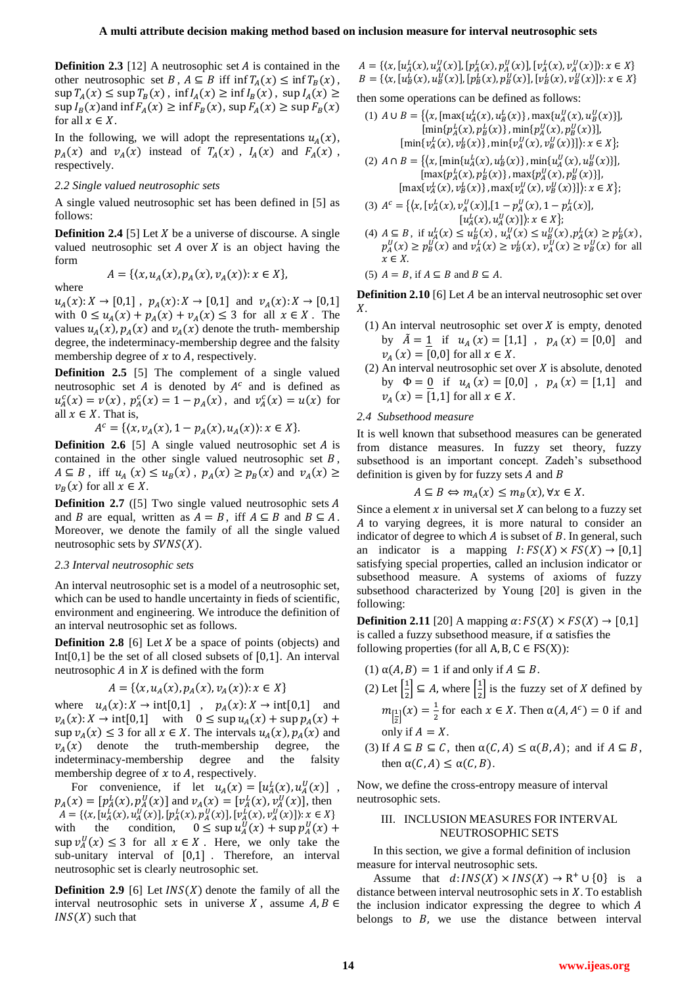**Definition 2.3** [12] A neutrosophic set  $A$  is contained in the other neutrosophic set B,  $A \subseteq B$  iff  $\inf T_A(x) \leq \inf T_B(x)$ ,  $\sup T_A(x) \leq \sup T_B(x)$ ,  $\inf I_A(x) \geq \inf I_B(x)$ ,  $\sup I_A(x) \geq$  $\sup I_B(x)$  and  $\inf F_A(x) \ge \inf F_B(x)$ ,  $\sup F_A(x) \ge \sup F_B(x)$ for all  $x \in X$ .

In the following, we will adopt the representations  $u_A(x)$ ,  $p_A(x)$  and  $v_A(x)$  instead of  $T_A(x)$ ,  $I_A(x)$  and  $F_A(x)$ , respectively.

# *2.2 Single valued neutrosophic sets*

A single valued neutrosophic set has been defined in [5] as follows:

**Definition 2.4** [5] Let  $X$  be a universe of discourse. A single valued neutrosophic set  $A$  over  $X$  is an object having the form

 $X \}$ 

$$
A = \{ (x, u_A(x), p_A(x), v_A(x)) : x \in
$$

where

 $u_A(x): X \to [0,1]$ ,  $p_A(x): X \to [0,1]$  and  $v_A(x): X \to [0,1]$ with  $0 \le u_A(x) + p_A(x) + v_A(x) \le 3$  for all  $x \in X$ . The values  $u_A(x)$ ,  $p_A(x)$  and  $v_A(x)$  denote the truth-membership degree, the indeterminacy-membership degree and the falsity membership degree of  $x$  to  $A$ , respectively.

**Definition 2.5** [5] The complement of a single valued neutrosophic set  $A$  is denoted by  $A^c$  and is defined as  $u_A^c(x) = v(x)$ ,  $p_A^c(x) = 1 - p_A(x)$ , and  $v_A^c(x) = u(x)$  for all  $x \in X$ . That is,

 $A^{c} = \{ (x, v_{A}(x), 1 - p_{A}(x), u_{A}(x)) : x \in X \}.$ 

**Definition 2.6** [5] A single valued neutrosophic set  $A$  is contained in the other single valued neutrosophic set  $B$ ,  $A \subseteq B$ , iff  $u_A(x) \le u_B(x)$ ,  $p_A(x) \ge p_B(x)$  and  $v_A(x) \ge$  $v_B(x)$  for all  $x \in X$ .

**Definition 2.7** ([5] Two single valued neutrosophic sets A and B are equal, written as  $A = B$ , iff  $A \subseteq B$  and  $B \subseteq A$ . Moreover, we denote the family of all the single valued neutrosophic sets by  $SVNS(X)$ .

## *2.3 Interval neutrosophic sets*

An interval neutrosophic set is a model of a neutrosophic set, which can be used to handle uncertainty in fieds of scientific, environment and engineering. We introduce the definition of an interval neutrosophic set as follows.

**Definition 2.8** [6] Let  $X$  be a space of points (objects) and Int $[0,1]$  be the set of all closed subsets of  $[0,1]$ . An interval neutrosophic  $A$  in  $X$  is defined with the form

$$
A = \{ (x, u_A(x), p_A(x), v_A(x)) : x \in X \}
$$

where  $u_A(x): X \to \text{int}[0,1]$ ,  $p_A(x): X \to \text{int}[0,1]$  and  $v_A(x)$ :  $X \to \text{int}[0,1]$  with  $0 \leq \sup u_A(x) + \sup p_A(x) +$  $\sup v_A(x) \leq 3$  for all  $x \in X$ . The intervals  $u_A(x)$ ,  $p_A(x)$  and  $v_A(x)$  denote the truth-membership degree, the indeterminacy-membership degree and the falsity membership degree of  $x$  to  $A$ , respectively.

For convenience, if let  $u_A(x) = [u_A^L(x), u_A^U(x)]$ ,  $p_A(x) = [p_A^L(x), p_A^U(x)]$  and  $v_A(x) = [v_A^L(x), v_A^U(x)]$ , then  $A = \{ (x, [u_A^L(x), u_A^U(x)], [p_A^L(x), p_A^U(x)], [v_A^L(x), v_A^U(x)] \} : x \in X \}$ with the condition,  $0 \leq \sup u_A^U(x) + \sup p_A^U(x) +$  $\sup v_A^U(x) \leq 3$  for all  $x \in X$ . Here, we only take the sub-unitary interval of  $[0,1]$ . Therefore, an interval neutrosophic set is clearly neutrosophic set.

**Definition 2.9** [6] Let  $INS(X)$  denote the family of all the interval neutrosophic sets in universe X, assume  $A, B \in$  $INS(X)$  such that

 $A = \{ (x, [u_A^L(x), u_A^U(x)], [p_A^L(x), p_A^U(x)], [v_A^L(x), v_A^U(x)] \} : x \in X \}$  $B = \{ (x, [u_B^L(x), u_B^U(x)], [p_B^L(x), p_B^U(x)], [v_B^L(x), v_B^U(x)] \} : x \in X \}$ 

then some operations can be defined as follows:

(1) 
$$
A \cup B = \{ \langle x, [\max\{u_A^L(x), u_B^L(x)\}, \max\{u_A^U(x), u_B^U(x)\} ],
$$
  
\n $[\min\{p_A^L(x), p_B^L(x)\}, \min\{p_A^U(x), p_B^U(x)\} ],$   
\n $[\min\{v_A^L(x), v_B^L(x)\}, \min\{v_A^U(x), v_B^U(x)\} ]): x \in X \};$ 

(2) 
$$
A \cap B = \{ (x, [\min\{u_a^L(x), u_b^L(x)\}, \min\{u_a^U(x), u_b^U(x)\}], [\max\{p_A^L(x), p_B^L(x)\}, \max\{p_A^U(x), p_B^U(x)\}], [\max\{v_a^L(x), v_b^L(x)\}, \max\{v_a^U(x), v_b^U(x)\}]) : x \in X \};
$$

(3) 
$$
A^{c} = \{ (x, [v_A^{L}(x), v_A^{U}(x)], [1 - p_A^{U}(x), 1 - p_A^{L}(x)], [u_A^{L}(x), u_A^{U}(x)] \colon x \in X \};
$$

(4)  $A \subseteq B$ , if  $u_A^L(x) \leq u_B^L(x)$ ,  $u_A^U(x) \leq u_B^U(x)$ ,  $p_A^L(x) \geq p_B^L(x)$ ,  $p_A^U(x) \geq p_B^U(x)$  and  $v_A^L(x) \geq v_B^L(x)$ ,  $v_A^U(x) \geq v_B^U(x)$  for all  $x \in X$ .

(5) 
$$
A = B
$$
, if  $A \subseteq B$  and  $B \subseteq A$ .

**Definition 2.10** [6] Let A be an interval neutrosophic set over  $X$ .

- (1) An interval neutrosophic set over  $X$  is empty, denoted by  $\tilde{A} = \underline{1}$  if  $u_A(x) = [1,1]$ ,  $p_A(x) = [0,0]$  and  $v_A(x) = [0,0]$  for all  $x \in X$ .
- (2) An interval neutrosophic set over  $X$  is absolute, denoted by  $\Phi = 0$  if  $u_A(x) = [0,0]$ ,  $p_A(x) = [1,1]$  and  $v_A(x) = [1,1]$  for all  $x \in X$ .

## *2.4 Subsethood measure*

It is well known that subsethood measures can be generated from distance measures. In fuzzy set theory, fuzzy subsethood is an important concept. Zadeh's subsethood definition is given by for fuzzy sets  $A$  and  $B$ 

$$
A \subseteq B \Leftrightarrow m_A(x) \le m_B(x), \forall x \in X.
$$

Since a element  $x$  in universal set  $X$  can belong to a fuzzy set to varying degrees, it is more natural to consider an indicator of degree to which  $A$  is subset of  $B$ . In general, such an indicator is a mapping  $I: FS(X) \times FS(X) \to [0,1]$ satisfying special properties, called an inclusion indicator or subsethood measure. A systems of axioms of fuzzy subsethood characterized by Young [20] is given in the following:

**Definition 2.11** [20] A mapping  $\alpha$ :  $FS(X) \times FS(X) \rightarrow [0,1]$ is called a fuzzy subsethood measure, if  $\alpha$  satisfies the following properties (for all  $A, B, C \in FS(X)$ ):

- (1)  $\alpha(A, B) = 1$  if and only if  $A \subseteq B$ .
- (2) Let  $\left[\frac{1}{2}\right]$  $\left[\frac{1}{2}\right] \subseteq A$ , where  $\left[\frac{1}{2}\right]$  $\frac{1}{2}$  is the fuzzy set of X defined by  $m_{\left[\frac{1}{2}\right]}(x) = \frac{1}{2}$  $\frac{1}{2}$  for each  $x \in X$ . Then  $\alpha(A, A^c) = 0$  if and only if  $A = X$ .
- (3) If  $A \subseteq B \subseteq C$ , then  $\alpha(C, A) \leq \alpha(B, A)$ ; and if  $A \subseteq B$ , then  $\alpha(C, A) \leq \alpha(C, B)$ .

Now, we define the cross-entropy measure of interval neutrosophic sets.

## III. INCLUSION MEASURES FOR INTERVAL NEUTROSOPHIC SETS

In this section, we give a formal definition of inclusion measure for interval neutrosophic sets.

Assume that  $d: INS(X) \times INS(X) \to \mathbb{R}^+ \cup \{0\}$  is a distance between interval neutrosophic sets in  $X$ . To establish the inclusion indicator expressing the degree to which  $A$ belongs to  $B$ , we use the distance between interval